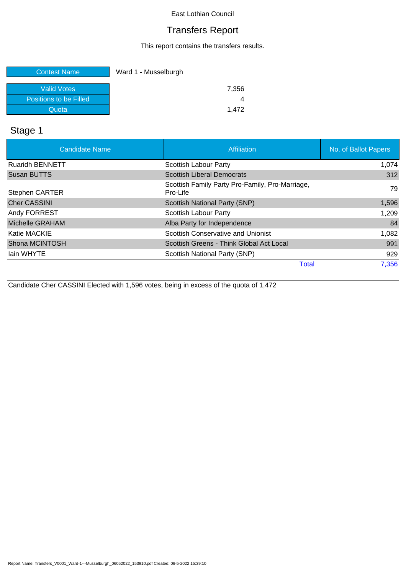# Transfers Report

This report contains the transfers results.

| <b>Contest Name</b>    | Ward 1 - Musselburgh |
|------------------------|----------------------|
|                        |                      |
| <b>Valid Votes</b>     | 7,356                |
| Positions to be Filled |                      |
| Quota                  | 1.472                |

# Stage 1

| <b>Candidate Name</b>  | Affiliation                                                 | No. of Ballot Papers |
|------------------------|-------------------------------------------------------------|----------------------|
| <b>Ruaridh BENNETT</b> | Scottish Labour Party                                       | 1,074                |
| <b>Susan BUTTS</b>     | <b>Scottish Liberal Democrats</b>                           | 312                  |
| <b>Stephen CARTER</b>  | Scottish Family Party Pro-Family, Pro-Marriage,<br>Pro-Life | 79                   |
| <b>Cher CASSINI</b>    | <b>Scottish National Party (SNP)</b>                        | 1,596                |
| Andy FORREST           | Scottish Labour Party                                       | 1,209                |
| Michelle GRAHAM        | Alba Party for Independence                                 | 84                   |
| Katie MACKIE           | Scottish Conservative and Unionist                          | 1,082                |
| Shona MCINTOSH         | Scottish Greens - Think Global Act Local                    | 991                  |
| lain WHYTE             | Scottish National Party (SNP)                               | 929                  |
|                        | <b>Total</b>                                                | 7,356                |

Candidate Cher CASSINI Elected with 1,596 votes, being in excess of the quota of 1,472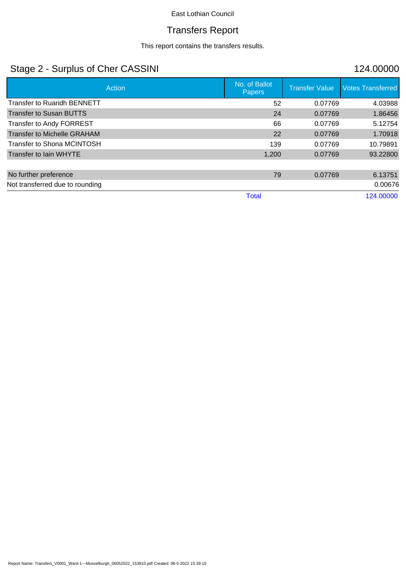# Transfers Report

This report contains the transfers results.

# Stage 2 - Surplus of Cher CASSINI 124.00000

| Action                             | No. of Ballot<br>Papers | <b>Transfer Value</b> | <b>Votes Transferred</b> |
|------------------------------------|-------------------------|-----------------------|--------------------------|
| <b>Transfer to Ruaridh BENNETT</b> | 52                      | 0.07769               | 4.03988                  |
| <b>Transfer to Susan BUTTS</b>     | 24                      | 0.07769               | 1.86456                  |
| Transfer to Andy FORREST           | 66                      | 0.07769               | 5.12754                  |
| <b>Transfer to Michelle GRAHAM</b> | 22                      | 0.07769               | 1.70918                  |
| Transfer to Shona MCINTOSH         | 139                     | 0.07769               | 10.79891                 |
| Transfer to lain WHYTE             | 1,200                   | 0.07769               | 93.22800                 |
|                                    |                         |                       |                          |
| No further preference              | 79                      | 0.07769               | 6.13751                  |
| Not transferred due to rounding    |                         |                       | 0.00676                  |
|                                    | Total                   |                       | 124.00000                |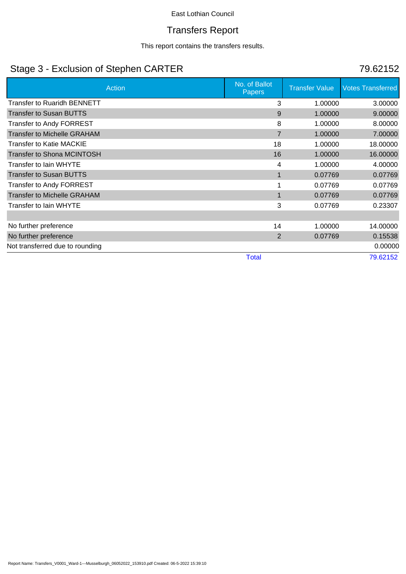### Transfers Report

This report contains the transfers results.

# Stage 3 - Exclusion of Stephen CARTER 79.62152

|                                    | Action | No. of Ballot<br><b>Papers</b> | <b>Transfer Value</b> | <b>Votes Transferred</b> |
|------------------------------------|--------|--------------------------------|-----------------------|--------------------------|
| <b>Transfer to Ruaridh BENNETT</b> |        | 3                              | 1.00000               | 3.00000                  |
| <b>Transfer to Susan BUTTS</b>     |        | 9                              | 1.00000               | 9.00000                  |
| <b>Transfer to Andy FORREST</b>    |        | 8                              | 1.00000               | 8.00000                  |
| <b>Transfer to Michelle GRAHAM</b> |        | $\overline{7}$                 | 1.00000               | 7.00000                  |
| <b>Transfer to Katie MACKIE</b>    |        | 18                             | 1.00000               | 18.00000                 |
| <b>Transfer to Shona MCINTOSH</b>  |        | 16                             | 1.00000               | 16.00000                 |
| Transfer to lain WHYTE             |        | 4                              | 1.00000               | 4.00000                  |
| <b>Transfer to Susan BUTTS</b>     |        | $\mathbf 1$                    | 0.07769               | 0.07769                  |
| <b>Transfer to Andy FORREST</b>    |        |                                | 0.07769               | 0.07769                  |
| <b>Transfer to Michelle GRAHAM</b> |        | $\mathbf 1$                    | 0.07769               | 0.07769                  |
| Transfer to lain WHYTE             |        | 3                              | 0.07769               | 0.23307                  |
|                                    |        |                                |                       |                          |
| No further preference              |        | 14                             | 1.00000               | 14.00000                 |
| No further preference              |        | $\overline{2}$                 | 0.07769               | 0.15538                  |
| Not transferred due to rounding    |        |                                |                       | 0.00000                  |
|                                    |        | <b>Total</b>                   |                       | 79.62152                 |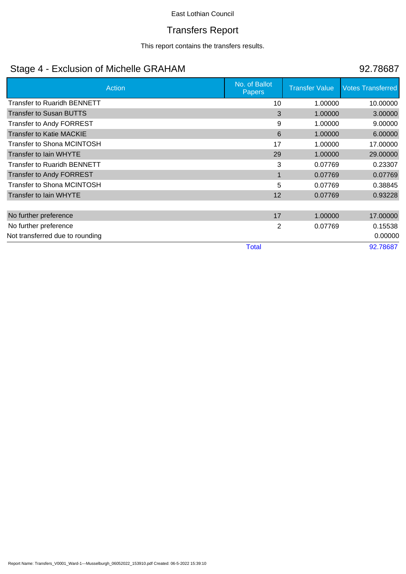### Transfers Report

This report contains the transfers results.

# Stage 4 - Exclusion of Michelle GRAHAM 92.78687

|                                    | Action | No. of Ballot<br><b>Papers</b> | <b>Transfer Value</b> | <b>Votes Transferred</b> |
|------------------------------------|--------|--------------------------------|-----------------------|--------------------------|
| <b>Transfer to Ruaridh BENNETT</b> |        | 10                             | 1.00000               | 10.00000                 |
| <b>Transfer to Susan BUTTS</b>     |        | 3                              | 1.00000               | 3.00000                  |
| <b>Transfer to Andy FORREST</b>    |        | 9                              | 1.00000               | 9.00000                  |
| <b>Transfer to Katie MACKIE</b>    |        | 6                              | 1.00000               | 6.00000                  |
| Transfer to Shona MCINTOSH         |        | 17                             | 1.00000               | 17.00000                 |
| <b>Transfer to lain WHYTE</b>      |        | 29                             | 1.00000               | 29.00000                 |
| <b>Transfer to Ruaridh BENNETT</b> |        | 3                              | 0.07769               | 0.23307                  |
| <b>Transfer to Andy FORREST</b>    |        | 1                              | 0.07769               | 0.07769                  |
| Transfer to Shona MCINTOSH         |        | 5                              | 0.07769               | 0.38845                  |
| <b>Transfer to lain WHYTE</b>      |        | 12                             | 0.07769               | 0.93228                  |
|                                    |        |                                |                       |                          |
| No further preference              |        | 17                             | 1.00000               | 17.00000                 |
| No further preference              |        | $\mathbf{2}$                   | 0.07769               | 0.15538                  |
| Not transferred due to rounding    |        |                                |                       | 0.00000                  |
|                                    |        | <b>Total</b>                   |                       | 92.78687                 |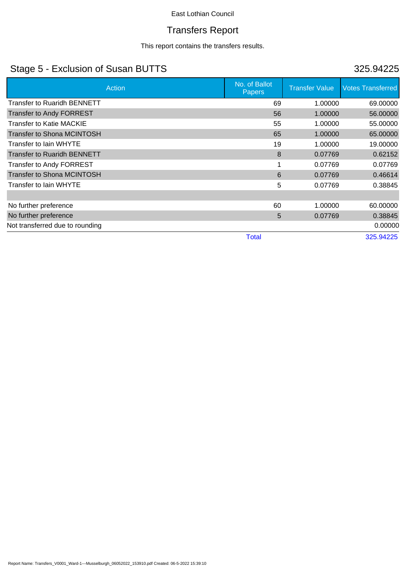# Transfers Report

This report contains the transfers results.

# Stage 5 - Exclusion of Susan BUTTS 325.94225

| Action                             | No. of Ballot<br><b>Papers</b> | <b>Transfer Value</b> | <b>Votes Transferred</b> |
|------------------------------------|--------------------------------|-----------------------|--------------------------|
| Transfer to Ruaridh BENNETT        | 69                             | 1.00000               | 69.00000                 |
| <b>Transfer to Andy FORREST</b>    | 56                             | 1.00000               | 56.00000                 |
| Transfer to Katie MACKIE           | 55                             | 1.00000               | 55.00000                 |
| <b>Transfer to Shona MCINTOSH</b>  | 65                             | 1.00000               | 65.00000                 |
| Transfer to lain WHYTE             | 19                             | 1.00000               | 19.00000                 |
| <b>Transfer to Ruaridh BENNETT</b> | 8                              | 0.07769               | 0.62152                  |
| <b>Transfer to Andy FORREST</b>    |                                | 0.07769               | 0.07769                  |
| <b>Transfer to Shona MCINTOSH</b>  | 6                              | 0.07769               | 0.46614                  |
| Transfer to lain WHYTE             | 5                              | 0.07769               | 0.38845                  |
|                                    |                                |                       |                          |
| No further preference              | 60                             | 1.00000               | 60.00000                 |
| No further preference              | 5                              | 0.07769               | 0.38845                  |
| Not transferred due to rounding    |                                |                       | 0.00000                  |
|                                    | <b>Total</b>                   |                       | 325.94225                |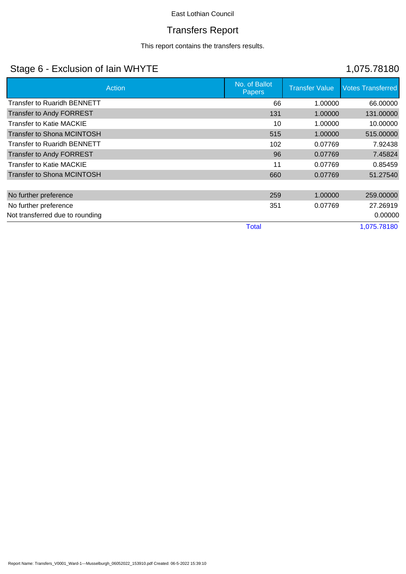# Transfers Report

This report contains the transfers results.

# Stage 6 - Exclusion of Iain WHYTE 1,075.78180

| Action                             | No. of Ballot<br>Papers | <b>Transfer Value</b> | <b>Votes Transferred</b> |
|------------------------------------|-------------------------|-----------------------|--------------------------|
| <b>Transfer to Ruaridh BENNETT</b> | 66                      | 1.00000               | 66.00000                 |
| <b>Transfer to Andy FORREST</b>    | 131                     | 1.00000               | 131.00000                |
| <b>Transfer to Katie MACKIE</b>    | 10                      | 1.00000               | 10.00000                 |
| <b>Transfer to Shona MCINTOSH</b>  | 515                     | 1.00000               | 515.00000                |
| <b>Transfer to Ruaridh BENNETT</b> | 102                     | 0.07769               | 7.92438                  |
| Transfer to Andy FORREST           | 96                      | 0.07769               | 7.45824                  |
| <b>Transfer to Katie MACKIE</b>    | 11                      | 0.07769               | 0.85459                  |
| Transfer to Shona MCINTOSH         | 660                     | 0.07769               | 51.27540                 |
|                                    |                         |                       |                          |
| No further preference              | 259                     | 1.00000               | 259,00000                |
| No further preference              | 351                     | 0.07769               | 27.26919                 |
| Not transferred due to rounding    |                         |                       | 0.00000                  |
|                                    | <b>Total</b>            |                       | 1,075.78180              |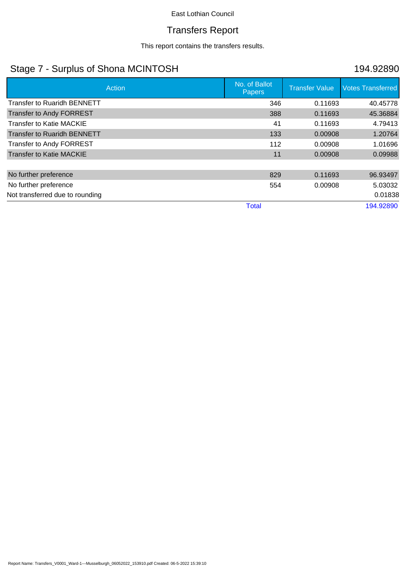### Transfers Report

This report contains the transfers results.

# Stage 7 - Surplus of Shona MCINTOSH 194.92890

| Action                             | No. of Ballot<br><b>Papers</b> | <b>Transfer Value</b> | <b>Votes Transferred</b> |
|------------------------------------|--------------------------------|-----------------------|--------------------------|
| <b>Transfer to Ruaridh BENNETT</b> | 346                            | 0.11693               | 40.45778                 |
| <b>Transfer to Andy FORREST</b>    | 388                            | 0.11693               | 45.36884                 |
| <b>Transfer to Katie MACKIE</b>    | 41                             | 0.11693               | 4.79413                  |
| <b>Transfer to Ruaridh BENNETT</b> | 133                            | 0.00908               | 1.20764                  |
| Transfer to Andy FORREST           | 112                            | 0.00908               | 1.01696                  |
| <b>Transfer to Katie MACKIE</b>    | 11                             | 0.00908               | 0.09988                  |
|                                    |                                |                       |                          |
| No further preference              | 829                            | 0.11693               | 96.93497                 |
| No further preference              | 554                            | 0.00908               | 5.03032                  |
| Not transferred due to rounding    |                                |                       | 0.01838                  |
|                                    | <b>Total</b>                   |                       | 194.92890                |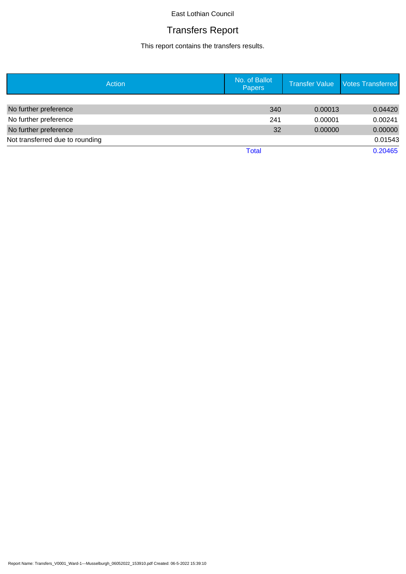# Transfers Report

This report contains the transfers results.

| Action                          | No. of Ballot<br>Papers | <b>Transfer Value</b> | <b>Votes Transferred</b> |
|---------------------------------|-------------------------|-----------------------|--------------------------|
|                                 |                         |                       |                          |
| No further preference           | 340                     | 0.00013               | 0.04420                  |
| No further preference           | 241                     | 0.00001               | 0.00241                  |
| No further preference           | 32                      | 0.00000               | 0.00000                  |
| Not transferred due to rounding |                         |                       | 0.01543                  |
|                                 | <b>Total</b>            |                       | 0.20465                  |